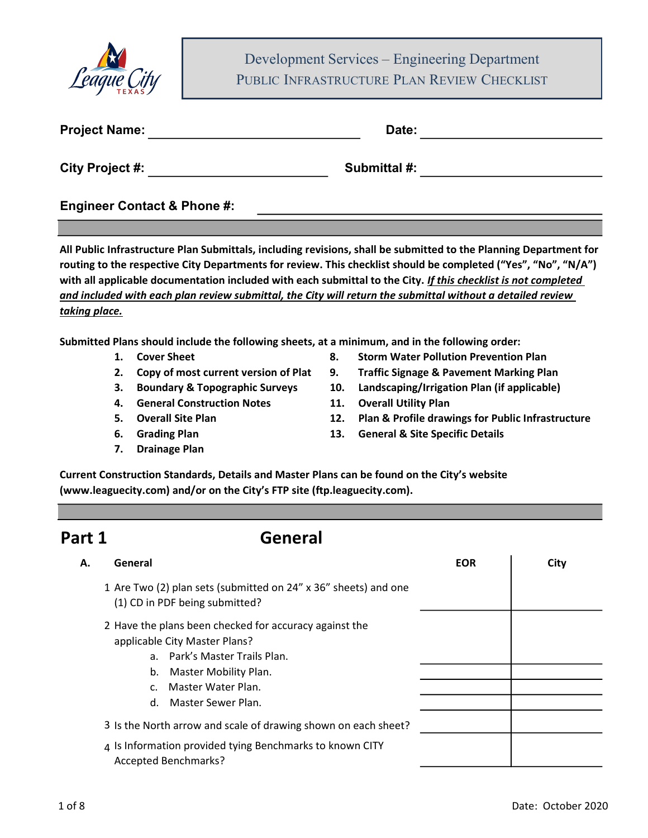

Development Services – Engineering Department<br>UBLIC INFRASTRUCTURE PLAN REVIEW CHECKLIST PUBLIC INFRASTRUCTURE PLAN REVIEW CHECKLIST

| <b>Project Name:</b>   | Date:        |  |
|------------------------|--------------|--|
| <b>City Project #:</b> | Submittal #: |  |

Engineer Contact & Phone #:

All Public Infrastructure Plan Submittals, including revisions, shall be submitted to the Planning Department for routing to the respective City Departments for review. This checklist should be completed ("Yes", "No", "N/A") with all applicable documentation included with each submittal to the City. If this checklist is not completed and included with each plan review submittal, the City will return the submittal without a detailed review taking place.

Submitted Plans should include the following sheets, at a minimum, and in the following order:

- 
- 
- 
- 4. General Construction Notes 11. Overall Utility Plan
- 
- 
- 7. Drainage Plan
- 1. Cover Sheet 8. Storm Water Pollution Prevention Plan
- 2. Copy of most current version of Plat 9. Traffic Signage & Pavement Marking Plan
- 3. Boundary & Topographic Surveys 10. Landscaping/Irrigation Plan (if applicable)
	-
- 5. Overall Site Plan 12. Plan & Profile drawings for Public Infrastructure
- 6. Grading Plan 13. General & Site Specific Details

Current Construction Standards, Details and Master Plans can be found on the City's website (www.leaguecity.com) and/or on the City's FTP site (ftp.leaguecity.com).

#### Part 1 General

| General<br>А.                                                                                                                                                                                                               | <b>EOR</b> | City |
|-----------------------------------------------------------------------------------------------------------------------------------------------------------------------------------------------------------------------------|------------|------|
| 1 Are Two (2) plan sets (submitted on 24" x 36" sheets) and one<br>(1) CD in PDF being submitted?                                                                                                                           |            |      |
| 2 Have the plans been checked for accuracy against the<br>applicable City Master Plans?<br>a. Park's Master Trails Plan.<br>Master Mobility Plan.<br>b.<br>Master Water Plan.<br>$\mathsf{C}$ .<br>Master Sewer Plan.<br>d. |            |      |
| 3 Is the North arrow and scale of drawing shown on each sheet?                                                                                                                                                              |            |      |
| 4 Is Information provided tying Benchmarks to known CITY<br><b>Accepted Benchmarks?</b>                                                                                                                                     |            |      |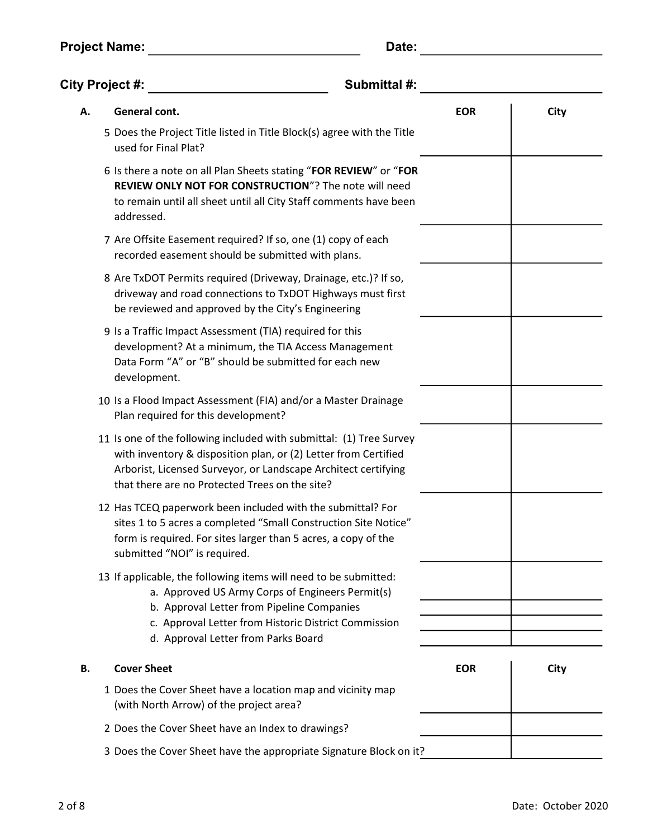| <b>Project Name:</b> | Date: |
|----------------------|-------|
|                      |       |

| <b>City Project #:</b><br>Submittal #: |                                                                                                                                                                                                                                                                   |            |      |
|----------------------------------------|-------------------------------------------------------------------------------------------------------------------------------------------------------------------------------------------------------------------------------------------------------------------|------------|------|
| А.                                     | General cont.                                                                                                                                                                                                                                                     | <b>EOR</b> | City |
|                                        | 5 Does the Project Title listed in Title Block(s) agree with the Title<br>used for Final Plat?                                                                                                                                                                    |            |      |
|                                        | 6 Is there a note on all Plan Sheets stating "FOR REVIEW" or "FOR<br><b>REVIEW ONLY NOT FOR CONSTRUCTION"?</b> The note will need<br>to remain until all sheet until all City Staff comments have been<br>addressed.                                              |            |      |
|                                        | 7 Are Offsite Easement required? If so, one (1) copy of each<br>recorded easement should be submitted with plans.                                                                                                                                                 |            |      |
|                                        | 8 Are TxDOT Permits required (Driveway, Drainage, etc.)? If so,<br>driveway and road connections to TxDOT Highways must first<br>be reviewed and approved by the City's Engineering                                                                               |            |      |
|                                        | 9 Is a Traffic Impact Assessment (TIA) required for this<br>development? At a minimum, the TIA Access Management<br>Data Form "A" or "B" should be submitted for each new<br>development.                                                                         |            |      |
|                                        | 10 Is a Flood Impact Assessment (FIA) and/or a Master Drainage<br>Plan required for this development?                                                                                                                                                             |            |      |
|                                        | 11 Is one of the following included with submittal: (1) Tree Survey<br>with inventory & disposition plan, or (2) Letter from Certified<br>Arborist, Licensed Surveyor, or Landscape Architect certifying<br>that there are no Protected Trees on the site?        |            |      |
|                                        | 12 Has TCEQ paperwork been included with the submittal? For<br>sites 1 to 5 acres a completed "Small Construction Site Notice"<br>form is required. For sites larger than 5 acres, a copy of the<br>submitted "NOI" is required.                                  |            |      |
|                                        | 13 If applicable, the following items will need to be submitted:<br>a. Approved US Army Corps of Engineers Permit(s)<br>b. Approval Letter from Pipeline Companies<br>c. Approval Letter from Historic District Commission<br>d. Approval Letter from Parks Board |            |      |
| В.                                     | <b>Cover Sheet</b>                                                                                                                                                                                                                                                | <b>EOR</b> | City |
|                                        | 1 Does the Cover Sheet have a location map and vicinity map<br>(with North Arrow) of the project area?                                                                                                                                                            |            |      |
|                                        | 2 Does the Cover Sheet have an Index to drawings?                                                                                                                                                                                                                 |            |      |
|                                        | 3 Does the Cover Sheet have the appropriate Signature Block on it?                                                                                                                                                                                                |            |      |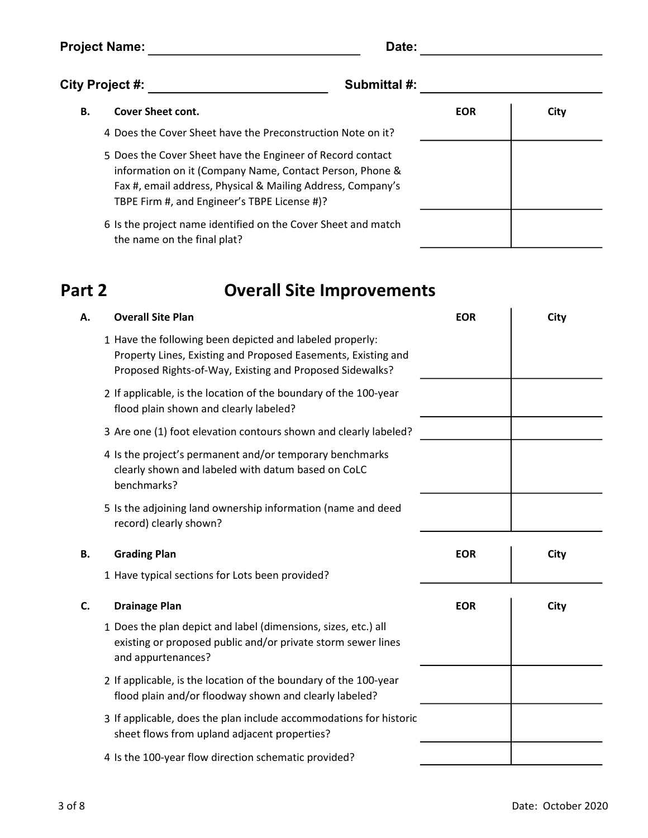Project Name: Date: Date: Date: Date: Date: Date: Date: Date: Date: Date: Date: Date: Date: Date: Date: Date: Date: Date: Date: Date: Date: Date: Date: Date: Date: Date: Date: Date: Date: Date: Date: Date: Date: Date: Date

| ٠<br>I |
|--------|
|--------|

| City Project #: |                                                             | <b>Submittal #:</b> |      |
|-----------------|-------------------------------------------------------------|---------------------|------|
| В.              | <b>Cover Sheet cont.</b>                                    | <b>EOR</b>          | City |
|                 | 4 Does the Cover Sheet have the Preconstruction Note on it? |                     |      |
|                 | 5 Does the Cover Sheet have the Engineer of Record contact  |                     |      |

- information on it (Company Name, Contact Person, Phone & Fax #, email address, Physical & Mailing Address, Company's TBPE Firm #, and Engineer's TBPE License #)?
- 6 Is the project name identified on the Cover Sheet and match the name on the final plat?

### Part 2

## Overall Site Improvements

| Α. | <b>Overall Site Plan</b>                                                                                                                                                              | <b>EOR</b> | City |
|----|---------------------------------------------------------------------------------------------------------------------------------------------------------------------------------------|------------|------|
|    | 1 Have the following been depicted and labeled properly:<br>Property Lines, Existing and Proposed Easements, Existing and<br>Proposed Rights-of-Way, Existing and Proposed Sidewalks? |            |      |
|    | 2 If applicable, is the location of the boundary of the 100-year<br>flood plain shown and clearly labeled?                                                                            |            |      |
|    | 3 Are one (1) foot elevation contours shown and clearly labeled?                                                                                                                      |            |      |
|    | 4 Is the project's permanent and/or temporary benchmarks<br>clearly shown and labeled with datum based on CoLC<br>benchmarks?                                                         |            |      |
|    | 5 Is the adjoining land ownership information (name and deed<br>record) clearly shown?                                                                                                |            |      |
|    |                                                                                                                                                                                       |            |      |
| В. | <b>Grading Plan</b>                                                                                                                                                                   | <b>EOR</b> | City |
|    | 1 Have typical sections for Lots been provided?                                                                                                                                       |            |      |
| C. | <b>Drainage Plan</b>                                                                                                                                                                  | <b>EOR</b> | City |
|    | 1 Does the plan depict and label (dimensions, sizes, etc.) all<br>existing or proposed public and/or private storm sewer lines<br>and appurtenances?                                  |            |      |
|    | 2 If applicable, is the location of the boundary of the 100-year<br>flood plain and/or floodway shown and clearly labeled?                                                            |            |      |
|    | 3 If applicable, does the plan include accommodations for historic<br>sheet flows from upland adjacent properties?                                                                    |            |      |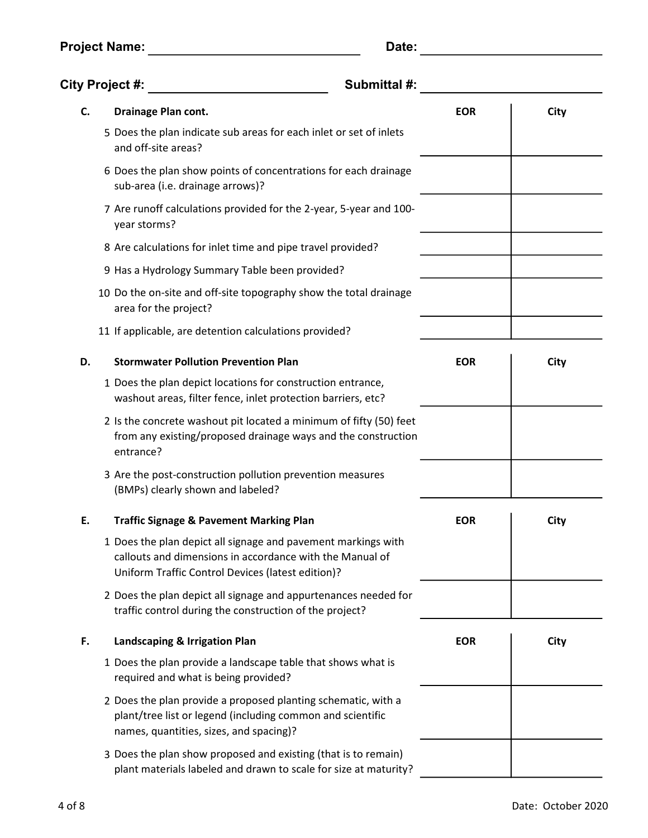| <b>Project Name:</b> | Date: |
|----------------------|-------|
|                      |       |

| <b>City Project #:</b> | Submittal #:                                                                                                                                                                   |            |      |
|------------------------|--------------------------------------------------------------------------------------------------------------------------------------------------------------------------------|------------|------|
| C.                     | <b>Drainage Plan cont.</b>                                                                                                                                                     | <b>EOR</b> | City |
|                        | 5 Does the plan indicate sub areas for each inlet or set of inlets<br>and off-site areas?                                                                                      |            |      |
|                        | 6 Does the plan show points of concentrations for each drainage<br>sub-area (i.e. drainage arrows)?                                                                            |            |      |
|                        | 7 Are runoff calculations provided for the 2-year, 5-year and 100-<br>year storms?                                                                                             |            |      |
|                        | 8 Are calculations for inlet time and pipe travel provided?                                                                                                                    |            |      |
|                        | 9 Has a Hydrology Summary Table been provided?                                                                                                                                 |            |      |
|                        | 10 Do the on-site and off-site topography show the total drainage<br>area for the project?                                                                                     |            |      |
|                        | 11 If applicable, are detention calculations provided?                                                                                                                         |            |      |
| D.                     | <b>Stormwater Pollution Prevention Plan</b>                                                                                                                                    | <b>EOR</b> | City |
|                        | 1 Does the plan depict locations for construction entrance,<br>washout areas, filter fence, inlet protection barriers, etc?                                                    |            |      |
|                        | 2 Is the concrete washout pit located a minimum of fifty (50) feet<br>from any existing/proposed drainage ways and the construction<br>entrance?                               |            |      |
|                        | 3 Are the post-construction pollution prevention measures<br>(BMPs) clearly shown and labeled?                                                                                 |            |      |
| Ε.                     | <b>Traffic Signage &amp; Pavement Marking Plan</b>                                                                                                                             | <b>EOR</b> | City |
|                        | 1 Does the plan depict all signage and pavement markings with<br>callouts and dimensions in accordance with the Manual of<br>Uniform Traffic Control Devices (latest edition)? |            |      |
|                        | 2 Does the plan depict all signage and appurtenances needed for<br>traffic control during the construction of the project?                                                     |            |      |
| F.                     | Landscaping & Irrigation Plan                                                                                                                                                  | <b>EOR</b> | City |
|                        | 1 Does the plan provide a landscape table that shows what is<br>required and what is being provided?                                                                           |            |      |
|                        | 2 Does the plan provide a proposed planting schematic, with a<br>plant/tree list or legend (including common and scientific<br>names, quantities, sizes, and spacing)?         |            |      |
|                        | 3 Does the plan show proposed and existing (that is to remain)<br>plant materials labeled and drawn to scale for size at maturity?                                             |            |      |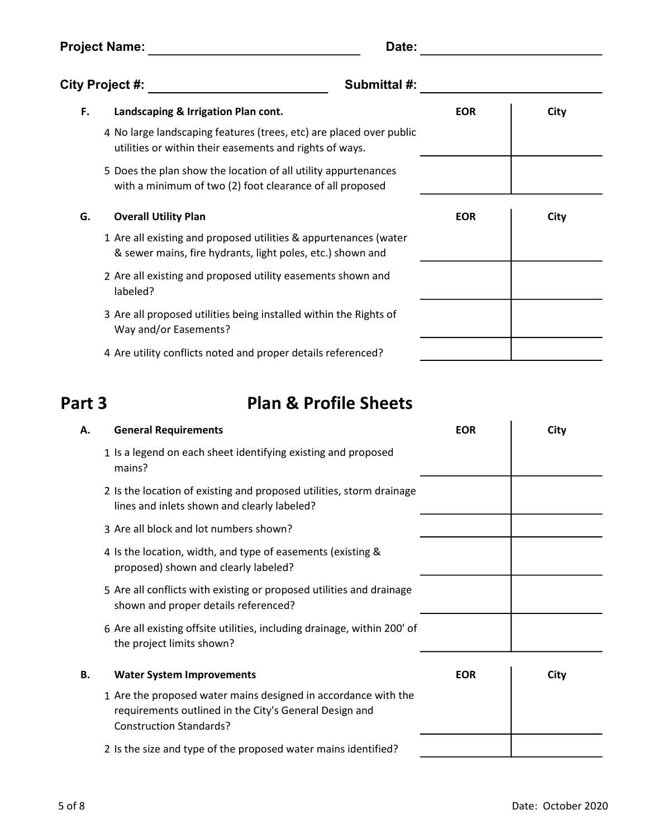Project Name: Date:

| <b>City Project #:</b> |                                                                                                                                | Submittal #: |      |
|------------------------|--------------------------------------------------------------------------------------------------------------------------------|--------------|------|
| F.                     | Landscaping & Irrigation Plan cont.                                                                                            | <b>EOR</b>   | City |
|                        | 4 No large landscaping features (trees, etc) are placed over public<br>utilities or within their easements and rights of ways. |              |      |
|                        | 5 Does the plan show the location of all utility appurtenances<br>with a minimum of two (2) foot clearance of all proposed     |              |      |
| G.                     | <b>Overall Utility Plan</b>                                                                                                    | <b>EOR</b>   | City |
|                        | 1 Are all existing and proposed utilities & appurtenances (water<br>& sewer mains, fire hydrants, light poles, etc.) shown and |              |      |
|                        | 2 Are all existing and proposed utility easements shown and<br>labeled?                                                        |              |      |
|                        | 3 Are all proposed utilities being installed within the Rights of<br>Way and/or Easements?                                     |              |      |
|                        | 4 Are utility conflicts noted and proper details referenced?                                                                   |              |      |

#### Part 3

### Plan & Profile Sheets

| А. | <b>General Requirements</b>                                                                                                                                | <b>EOR</b> | City |
|----|------------------------------------------------------------------------------------------------------------------------------------------------------------|------------|------|
|    | 1 Is a legend on each sheet identifying existing and proposed<br>mains?                                                                                    |            |      |
|    | 2 Is the location of existing and proposed utilities, storm drainage<br>lines and inlets shown and clearly labeled?                                        |            |      |
|    | 3 Are all block and lot numbers shown?                                                                                                                     |            |      |
|    | 4 Is the location, width, and type of easements (existing &<br>proposed) shown and clearly labeled?                                                        |            |      |
|    | 5 Are all conflicts with existing or proposed utilities and drainage<br>shown and proper details referenced?                                               |            |      |
|    | 6 Are all existing offsite utilities, including drainage, within 200' of<br>the project limits shown?                                                      |            |      |
| В. | <b>Water System Improvements</b>                                                                                                                           | <b>EOR</b> | City |
|    | 1 Are the proposed water mains designed in accordance with the<br>requirements outlined in the City's General Design and<br><b>Construction Standards?</b> |            |      |
|    | 2 Is the size and type of the proposed water mains identified?                                                                                             |            |      |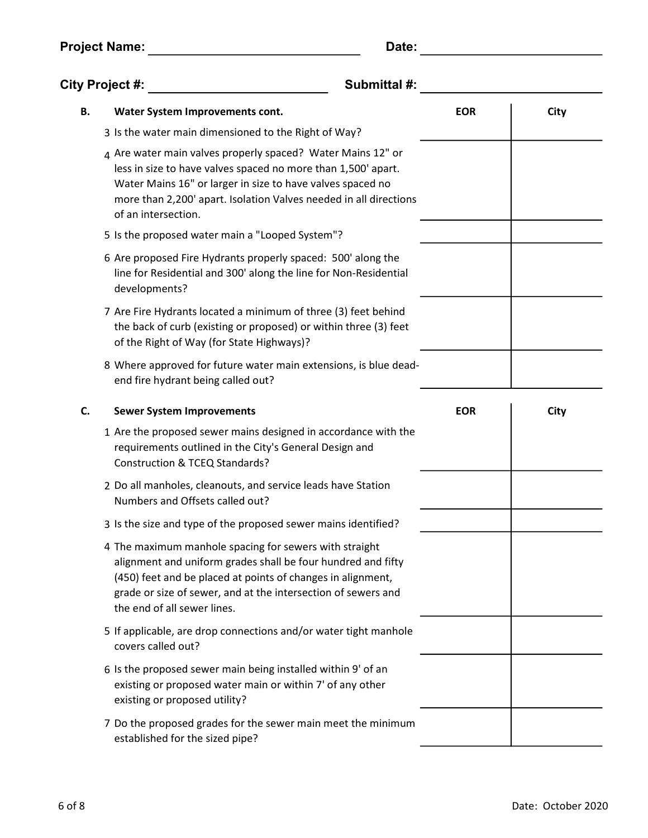Project Name: Date:

| ٠<br>۰. |
|---------|
|---------|

|    | City Project #:                                                                                                                                                                                                                                                                        | Submittal #: |      |
|----|----------------------------------------------------------------------------------------------------------------------------------------------------------------------------------------------------------------------------------------------------------------------------------------|--------------|------|
| В. | <b>Water System Improvements cont.</b>                                                                                                                                                                                                                                                 | <b>EOR</b>   | City |
|    | 3 Is the water main dimensioned to the Right of Way?                                                                                                                                                                                                                                   |              |      |
|    | 4 Are water main valves properly spaced? Water Mains 12" or<br>less in size to have valves spaced no more than 1,500' apart.<br>Water Mains 16" or larger in size to have valves spaced no<br>more than 2,200' apart. Isolation Valves needed in all directions<br>of an intersection. |              |      |
|    | 5 Is the proposed water main a "Looped System"?                                                                                                                                                                                                                                        |              |      |
|    | 6 Are proposed Fire Hydrants properly spaced: 500' along the<br>line for Residential and 300' along the line for Non-Residential<br>developments?                                                                                                                                      |              |      |
|    | 7 Are Fire Hydrants located a minimum of three (3) feet behind<br>the back of curb (existing or proposed) or within three (3) feet<br>of the Right of Way (for State Highways)?                                                                                                        |              |      |
|    | 8 Where approved for future water main extensions, is blue dead-<br>end fire hydrant being called out?                                                                                                                                                                                 |              |      |
| C. | <b>Sewer System Improvements</b>                                                                                                                                                                                                                                                       | <b>EOR</b>   | City |
|    | 1 Are the proposed sewer mains designed in accordance with the<br>requirements outlined in the City's General Design and<br>Construction & TCEQ Standards?                                                                                                                             |              |      |
|    | 2 Do all manholes, cleanouts, and service leads have Station<br>Numbers and Offsets called out?                                                                                                                                                                                        |              |      |
|    | 3 Is the size and type of the proposed sewer mains identified?                                                                                                                                                                                                                         |              |      |
|    | 4 The maximum manhole spacing for sewers with straight<br>alignment and uniform grades shall be four hundred and fifty<br>(450) feet and be placed at points of changes in alignment,<br>grade or size of sewer, and at the intersection of sewers and<br>the end of all sewer lines.  |              |      |
|    | 5 If applicable, are drop connections and/or water tight manhole<br>covers called out?                                                                                                                                                                                                 |              |      |
|    | 6 Is the proposed sewer main being installed within 9' of an<br>existing or proposed water main or within 7' of any other<br>existing or proposed utility?                                                                                                                             |              |      |
|    | 7 Do the proposed grades for the sewer main meet the minimum<br>established for the sized pipe?                                                                                                                                                                                        |              |      |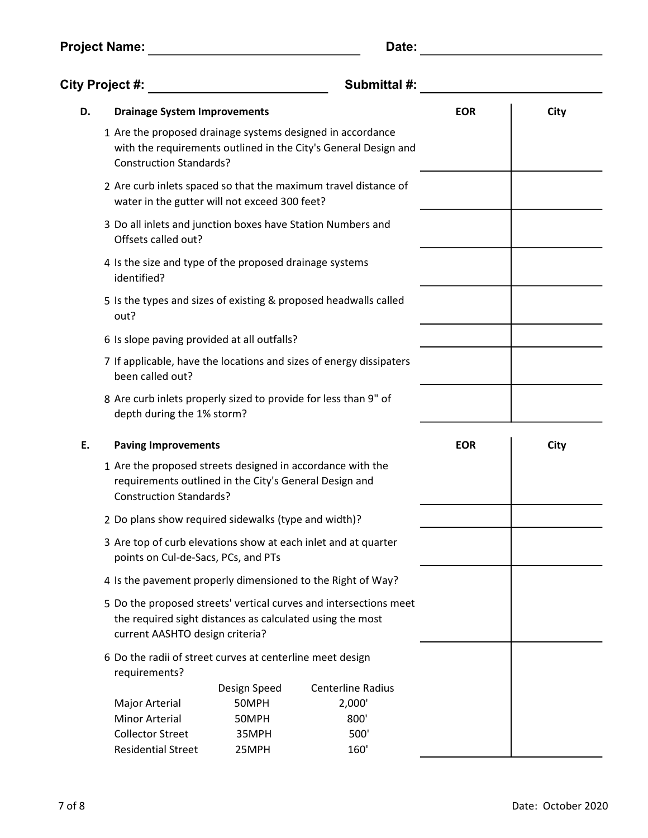| <b>Project Name:</b> | Date: |
|----------------------|-------|
|                      |       |

| <b>City Project #:</b><br>Submittal #:                                                                                                                                                   |                |                                                                                                                                                                                                                 |                                                                                                                                                                                                                                                                                                                                                                                                                                                                                                                                                                                                                                                                                                                                                                                                                                                                                                                                                                                 |      |
|------------------------------------------------------------------------------------------------------------------------------------------------------------------------------------------|----------------|-----------------------------------------------------------------------------------------------------------------------------------------------------------------------------------------------------------------|---------------------------------------------------------------------------------------------------------------------------------------------------------------------------------------------------------------------------------------------------------------------------------------------------------------------------------------------------------------------------------------------------------------------------------------------------------------------------------------------------------------------------------------------------------------------------------------------------------------------------------------------------------------------------------------------------------------------------------------------------------------------------------------------------------------------------------------------------------------------------------------------------------------------------------------------------------------------------------|------|
|                                                                                                                                                                                          |                |                                                                                                                                                                                                                 | <b>EOR</b>                                                                                                                                                                                                                                                                                                                                                                                                                                                                                                                                                                                                                                                                                                                                                                                                                                                                                                                                                                      | City |
|                                                                                                                                                                                          |                |                                                                                                                                                                                                                 |                                                                                                                                                                                                                                                                                                                                                                                                                                                                                                                                                                                                                                                                                                                                                                                                                                                                                                                                                                                 |      |
|                                                                                                                                                                                          |                |                                                                                                                                                                                                                 |                                                                                                                                                                                                                                                                                                                                                                                                                                                                                                                                                                                                                                                                                                                                                                                                                                                                                                                                                                                 |      |
| Offsets called out?                                                                                                                                                                      |                |                                                                                                                                                                                                                 |                                                                                                                                                                                                                                                                                                                                                                                                                                                                                                                                                                                                                                                                                                                                                                                                                                                                                                                                                                                 |      |
| 4 Is the size and type of the proposed drainage systems<br>identified?                                                                                                                   |                |                                                                                                                                                                                                                 |                                                                                                                                                                                                                                                                                                                                                                                                                                                                                                                                                                                                                                                                                                                                                                                                                                                                                                                                                                                 |      |
| out?                                                                                                                                                                                     |                |                                                                                                                                                                                                                 |                                                                                                                                                                                                                                                                                                                                                                                                                                                                                                                                                                                                                                                                                                                                                                                                                                                                                                                                                                                 |      |
|                                                                                                                                                                                          |                |                                                                                                                                                                                                                 |                                                                                                                                                                                                                                                                                                                                                                                                                                                                                                                                                                                                                                                                                                                                                                                                                                                                                                                                                                                 |      |
| 7 If applicable, have the locations and sizes of energy dissipaters<br>been called out?<br>8 Are curb inlets properly sized to provide for less than 9" of<br>depth during the 1% storm? |                |                                                                                                                                                                                                                 |                                                                                                                                                                                                                                                                                                                                                                                                                                                                                                                                                                                                                                                                                                                                                                                                                                                                                                                                                                                 |      |
|                                                                                                                                                                                          |                |                                                                                                                                                                                                                 |                                                                                                                                                                                                                                                                                                                                                                                                                                                                                                                                                                                                                                                                                                                                                                                                                                                                                                                                                                                 |      |
|                                                                                                                                                                                          |                |                                                                                                                                                                                                                 | <b>EOR</b>                                                                                                                                                                                                                                                                                                                                                                                                                                                                                                                                                                                                                                                                                                                                                                                                                                                                                                                                                                      | City |
|                                                                                                                                                                                          |                |                                                                                                                                                                                                                 |                                                                                                                                                                                                                                                                                                                                                                                                                                                                                                                                                                                                                                                                                                                                                                                                                                                                                                                                                                                 |      |
|                                                                                                                                                                                          |                |                                                                                                                                                                                                                 |                                                                                                                                                                                                                                                                                                                                                                                                                                                                                                                                                                                                                                                                                                                                                                                                                                                                                                                                                                                 |      |
|                                                                                                                                                                                          |                |                                                                                                                                                                                                                 |                                                                                                                                                                                                                                                                                                                                                                                                                                                                                                                                                                                                                                                                                                                                                                                                                                                                                                                                                                                 |      |
|                                                                                                                                                                                          |                |                                                                                                                                                                                                                 |                                                                                                                                                                                                                                                                                                                                                                                                                                                                                                                                                                                                                                                                                                                                                                                                                                                                                                                                                                                 |      |
|                                                                                                                                                                                          |                |                                                                                                                                                                                                                 |                                                                                                                                                                                                                                                                                                                                                                                                                                                                                                                                                                                                                                                                                                                                                                                                                                                                                                                                                                                 |      |
| requirements?                                                                                                                                                                            |                |                                                                                                                                                                                                                 |                                                                                                                                                                                                                                                                                                                                                                                                                                                                                                                                                                                                                                                                                                                                                                                                                                                                                                                                                                                 |      |
|                                                                                                                                                                                          | Design Speed   | <b>Centerline Radius</b>                                                                                                                                                                                        |                                                                                                                                                                                                                                                                                                                                                                                                                                                                                                                                                                                                                                                                                                                                                                                                                                                                                                                                                                                 |      |
|                                                                                                                                                                                          | 50MPH          |                                                                                                                                                                                                                 |                                                                                                                                                                                                                                                                                                                                                                                                                                                                                                                                                                                                                                                                                                                                                                                                                                                                                                                                                                                 |      |
|                                                                                                                                                                                          |                |                                                                                                                                                                                                                 |                                                                                                                                                                                                                                                                                                                                                                                                                                                                                                                                                                                                                                                                                                                                                                                                                                                                                                                                                                                 |      |
| <b>Minor Arterial</b><br><b>Collector Street</b>                                                                                                                                         | 50MPH<br>35MPH | 800'<br>500'                                                                                                                                                                                                    |                                                                                                                                                                                                                                                                                                                                                                                                                                                                                                                                                                                                                                                                                                                                                                                                                                                                                                                                                                                 |      |
|                                                                                                                                                                                          |                | <b>Drainage System Improvements</b><br><b>Construction Standards?</b><br><b>Paving Improvements</b><br><b>Construction Standards?</b><br>points on Cul-de-Sacs, PCs, and PTs<br>current AASHTO design criteria? | 1 Are the proposed drainage systems designed in accordance<br>with the requirements outlined in the City's General Design and<br>2 Are curb inlets spaced so that the maximum travel distance of<br>water in the gutter will not exceed 300 feet?<br>3 Do all inlets and junction boxes have Station Numbers and<br>5 Is the types and sizes of existing & proposed headwalls called<br>6 Is slope paving provided at all outfalls?<br>1 Are the proposed streets designed in accordance with the<br>requirements outlined in the City's General Design and<br>2 Do plans show required sidewalks (type and width)?<br>3 Are top of curb elevations show at each inlet and at quarter<br>4 Is the pavement properly dimensioned to the Right of Way?<br>5 Do the proposed streets' vertical curves and intersections meet<br>the required sight distances as calculated using the most<br>6 Do the radii of street curves at centerline meet design<br>Major Arterial<br>2,000' |      |